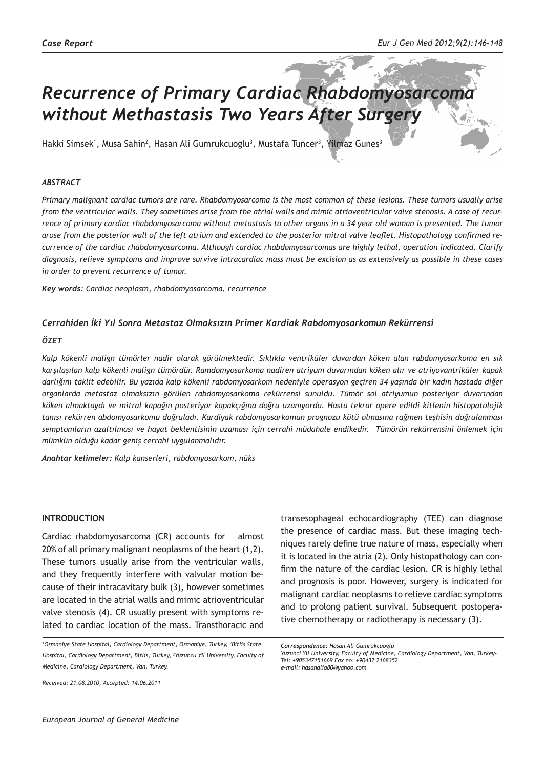# *Recurrence of Primary Cardiac Rhabdomyosarcoma without Methastasis Two Years After Surgery*

Hakki Simsek<sup>1</sup>, Musa Sahin<sup>2</sup>, Hasan Ali Gumrukcuoglu<sup>3</sup>, Mustafa Tuncer<sup>3</sup>, Yilmaz Gunes<sup>3</sup>

## *ABSTRACT*

*Primary malignant cardiac tumors are rare. Rhabdomyosarcoma is the most common of these lesions. These tumors usually arise from the ventricular walls. They sometimes arise from the atrial walls and mimic atrioventricular valve stenosis. A case of recurrence of primary cardiac rhabdomyosarcoma without metastasis to other organs in a 34 year old woman is presented. The tumor arose from the posterior wall of the left atrium and extended to the posterior mitral valve leaflet. Histopathology confirmed recurrence of the cardiac rhabdomyosarcoma. Although cardiac rhabdomyosarcomas are highly lethal, operation indicated. Clarify diagnosis, relieve symptoms and improve survive intracardiac mass must be excision as as extensively as possible in these cases in order to prevent recurrence of tumor.* 

*Key words: Cardiac neoplasm, rhabdomyosarcoma, recurrence*

## *Cerrahiden İki Yıl Sonra Metastaz Olmaksızın Primer Kardiak Rabdomyosarkomun Rekürrensi*

#### *ÖZET*

*Kalp kökenli malign tümörler nadir olarak görülmektedir. Sıklıkla ventriküler duvardan köken alan rabdomyosarkoma en sık karşılaşılan kalp kökenli malign tümördür. Ramdomyosarkoma nadiren atriyum duvarından köken alır ve atriyovantriküler kapak darlığını taklit edebilir. Bu yazıda kalp kökenli rabdomyosarkom nedeniyle operasyon geçiren 34 yaşında bir kadın hastada diğer organlarda metastaz olmaksızın görülen rabdomyosarkoma rekürrensi sunuldu. Tümör sol atriyumun posteriyor duvarından köken almaktaydı ve mitral kapağın posteriyor kapakçığına doğru uzanıyordu. Hasta tekrar opere edildi kitlenin histopatolojik tanısı rekürren abdomyosarkomu doğruladı. Kardiyak rabdomyosarkomun prognozu kötü olmasına rağmen teşhisin doğrulanması semptomların azaltılması ve hayat beklentisinin uzaması için cerrahi müdahale endikedir. Tümörün rekürrensini önlemek için mümkün olduğu kadar geniş cerrahi uygulanmalıdır.*

*Anahtar kelimeler: Kalp kanserleri, rabdomyosarkom, nüks*

#### **INTRODUCTION**

Cardiac rhabdomyosarcoma (CR) accounts for almost 20% of all primary malignant neoplasms of the heart (1,2). These tumors usually arise from the ventricular walls, and they frequently interfere with valvular motion because of their intracavitary bulk (3), however sometimes are located in the atrial walls and mimic atrioventricular valve stenosis (4). CR usually present with symptoms related to cardiac location of the mass. Transthoracic and

transesophageal echocardiography (TEE) can diagnose the presence of cardiac mass. But these imaging techniques rarely define true nature of mass, especially when it is located in the atria (2). Only histopathology can confirm the nature of the cardiac lesion. CR is highly lethal and prognosis is poor. However, surgery is indicated for malignant cardiac neoplasms to relieve cardiac symptoms and to prolong patient survival. Subsequent postoperative chemotherapy or radiotherapy is necessary (3).

*Received: 21.08.2010, Accepted: 14.06.2011*

<sup>&</sup>lt;sup>1</sup>Osmaniye State Hospital, Cardiology Department, Osmaniye, Turkey, <sup>2</sup>Bitlis State *Hospital, Cardiology Department, Bitlis, Turkey, <sup>3</sup> Yuzuncu Yil University, Faculty of Medicine, Cardiology Department, Van, Turkey.*

*Correspondence: Hasan Ali Gumrukcuoglu*

*Yuzunci Yil University, Faculty of Medicine, Cardiology Department, Van, Turkey-Tel: +905347151669 Fax no: +90432 2168352 e-mail: hasanaliq80@yahoo.com*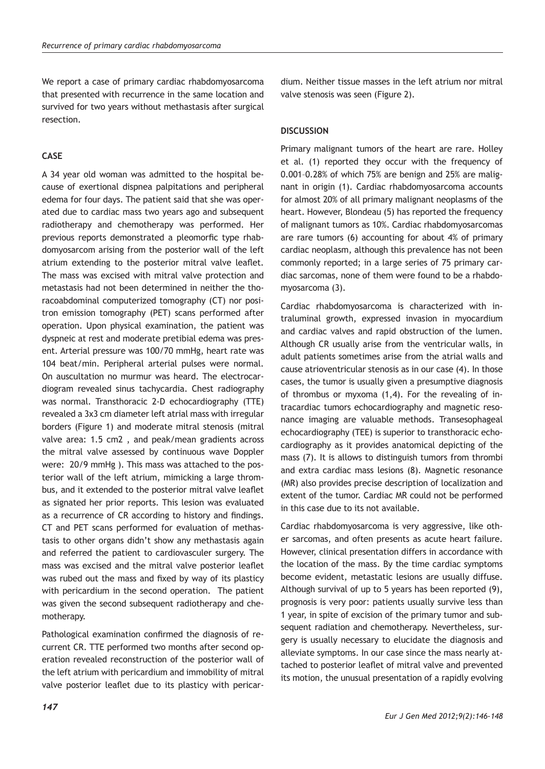We report a case of primary cardiac rhabdomyosarcoma that presented with recurrence in the same location and survived for two years without methastasis after surgical resection.

# **CASE**

A 34 year old woman was admitted to the hospital because of exertional dispnea palpitations and peripheral edema for four days. The patient said that she was operated due to cardiac mass two years ago and subsequent radiotherapy and chemotherapy was performed. Her previous reports demonstrated a pleomorfic type rhabdomyosarcom arising from the posterior wall of the left atrium extending to the posterior mitral valve leaflet. The mass was excised with mitral valve protection and metastasis had not been determined in neither the thoracoabdominal computerized tomography (CT) nor positron emission tomography (PET) scans performed after operation. Upon physical examination, the patient was dyspneic at rest and moderate pretibial edema was present. Arterial pressure was 100/70 mmHg, heart rate was 104 beat/min. Peripheral arterial pulses were normal. On auscultation no murmur was heard. The electrocardiogram revealed sinus tachycardia. Chest radiography was normal. Transthoracic 2-D echocardiography (TTE) revealed a 3x3 cm diameter left atrial mass with irregular borders (Figure 1) and moderate mitral stenosis (mitral valve area: 1.5 cm2 , and peak/mean gradients across the mitral valve assessed by continuous wave Doppler were: 20/9 mmHg ). This mass was attached to the posterior wall of the left atrium, mimicking a large thrombus, and it extended to the posterior mitral valve leaflet as signated her prior reports. This lesion was evaluated as a recurrence of CR according to history and findings. CT and PET scans performed for evaluation of methastasis to other organs didn't show any methastasis again and referred the patient to cardiovasculer surgery. The mass was excised and the mitral valve posterior leaflet was rubed out the mass and fixed by way of its plasticy with pericardium in the second operation. The patient was given the second subsequent radiotherapy and chemotherapy.

Pathological examination confirmed the diagnosis of recurrent CR. TTE performed two months after second operation revealed reconstruction of the posterior wall of the left atrium with pericardium and immobility of mitral valve posterior leaflet due to its plasticy with pericardium. Neither tissue masses in the left atrium nor mitral valve stenosis was seen (Figure 2).

# **DISCUSSION**

Primary malignant tumors of the heart are rare. Holley et al. (1) reported they occur with the frequency of 0.001–0.28% of which 75% are benign and 25% are malignant in origin (1). Cardiac rhabdomyosarcoma accounts for almost 20% of all primary malignant neoplasms of the heart. However, Blondeau (5) has reported the frequency of malignant tumors as 10%. Cardiac rhabdomyosarcomas are rare tumors (6) accounting for about 4% of primary cardiac neoplasm, although this prevalence has not been commonly reported; in a large series of 75 primary cardiac sarcomas, none of them were found to be a rhabdomyosarcoma (3).

Cardiac rhabdomyosarcoma is characterized with intraluminal growth, expressed invasion in myocardium and cardiac valves and rapid obstruction of the lumen. Although CR usually arise from the ventricular walls, in adult patients sometimes arise from the atrial walls and cause atrioventricular stenosis as in our case (4). In those cases, the tumor is usually given a presumptive diagnosis of thrombus or myxoma (1,4). For the revealing of intracardiac tumors echocardiography and magnetic resonance imaging are valuable methods. Transesophageal echocardiography (TEE) is superior to transthoracic echocardiography as it provides anatomical depicting of the mass (7). It is allows to distinguish tumors from thrombi and extra cardiac mass lesions (8). Magnetic resonance (MR) also provides precise description of localization and extent of the tumor. Cardiac MR could not be performed in this case due to its not available.

Cardiac rhabdomyosarcoma is very aggressive, like other sarcomas, and often presents as acute heart failure. However, clinical presentation differs in accordance with the location of the mass. By the time cardiac symptoms become evident, metastatic lesions are usually diffuse. Although survival of up to 5 years has been reported (9), prognosis is very poor: patients usually survive less than 1 year, in spite of excision of the primary tumor and subsequent radiation and chemotherapy. Nevertheless, surgery is usually necessary to elucidate the diagnosis and alleviate symptoms. In our case since the mass nearly attached to posterior leaflet of mitral valve and prevented its motion, the unusual presentation of a rapidly evolving